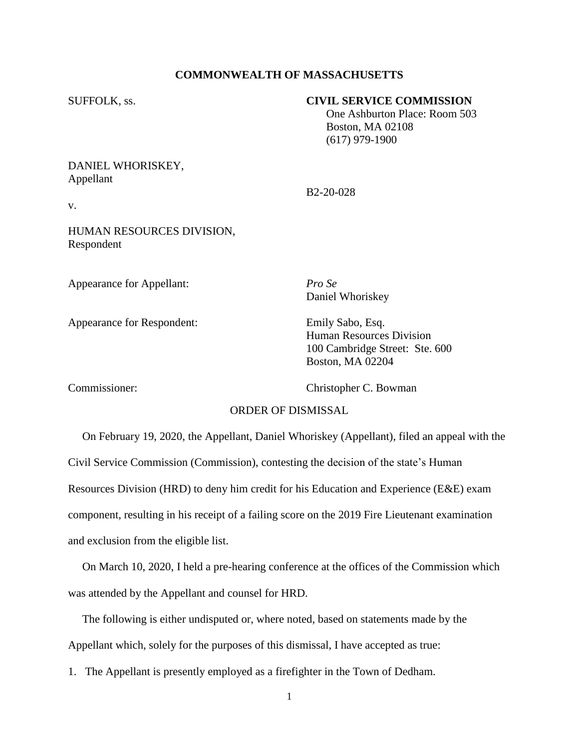### **COMMONWEALTH OF MASSACHUSETTS**

#### SUFFOLK, ss. **CIVIL SERVICE COMMISSION**

 One Ashburton Place: Room 503 Boston, MA 02108 (617) 979-1900

# DANIEL WHORISKEY, Appellant

v.

HUMAN RESOURCES DIVISION, Respondent

Appearance for Appellant: *Pro Se*

Appearance for Respondent: Emily Sabo, Esq.

Daniel Whoriskey

B2-20-028

Human Resources Division 100 Cambridge Street: Ste. 600 Boston, MA 02204

Commissioner: Christopher C. Bowman

## ORDER OF DISMISSAL

 On February 19, 2020, the Appellant, Daniel Whoriskey (Appellant), filed an appeal with the Civil Service Commission (Commission), contesting the decision of the state's Human Resources Division (HRD) to deny him credit for his Education and Experience (E&E) exam component, resulting in his receipt of a failing score on the 2019 Fire Lieutenant examination and exclusion from the eligible list.

 On March 10, 2020, I held a pre-hearing conference at the offices of the Commission which was attended by the Appellant and counsel for HRD.

 The following is either undisputed or, where noted, based on statements made by the Appellant which, solely for the purposes of this dismissal, I have accepted as true:

1. The Appellant is presently employed as a firefighter in the Town of Dedham.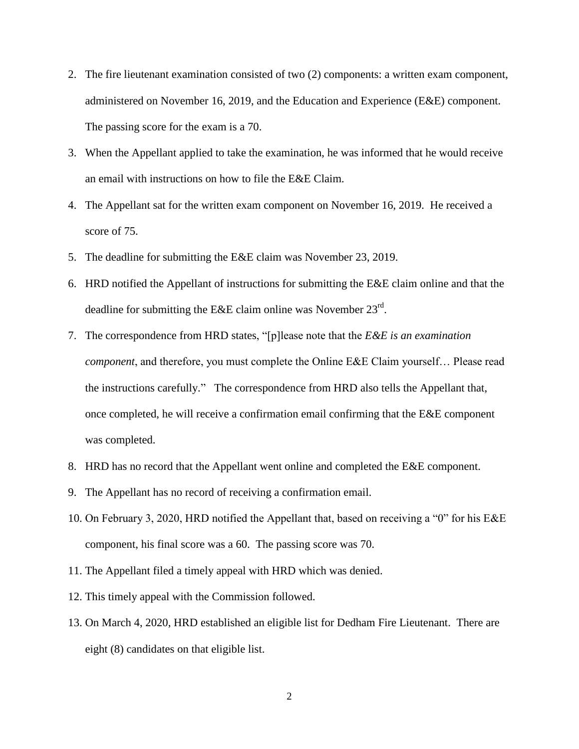- 2. The fire lieutenant examination consisted of two (2) components: a written exam component, administered on November 16, 2019, and the Education and Experience (E&E) component. The passing score for the exam is a 70.
- 3. When the Appellant applied to take the examination, he was informed that he would receive an email with instructions on how to file the E&E Claim.
- 4. The Appellant sat for the written exam component on November 16, 2019. He received a score of 75.
- 5. The deadline for submitting the E&E claim was November 23, 2019.
- 6. HRD notified the Appellant of instructions for submitting the E&E claim online and that the deadline for submitting the E&E claim online was November  $23^{\text{rd}}$ .
- 7. The correspondence from HRD states, "[p]lease note that the *E&E is an examination component*, and therefore, you must complete the Online E&E Claim yourself... Please read the instructions carefully." The correspondence from HRD also tells the Appellant that, once completed, he will receive a confirmation email confirming that the E&E component was completed.
- 8. HRD has no record that the Appellant went online and completed the E&E component.
- 9. The Appellant has no record of receiving a confirmation email.
- 10. On February 3, 2020, HRD notified the Appellant that, based on receiving a "0" for his E&E component, his final score was a 60. The passing score was 70.
- 11. The Appellant filed a timely appeal with HRD which was denied.
- 12. This timely appeal with the Commission followed.
- 13. On March 4, 2020, HRD established an eligible list for Dedham Fire Lieutenant. There are eight (8) candidates on that eligible list.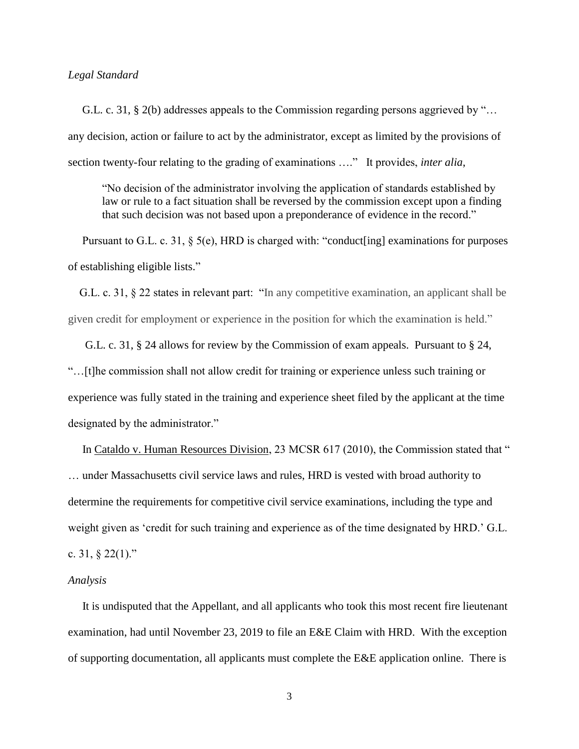## *Legal Standard*

 G.L. c. 31, § 2(b) addresses appeals to the Commission regarding persons aggrieved by "… any decision, action or failure to act by the administrator, except as limited by the provisions of section twenty-four relating to the grading of examinations …." It provides, *inter alia*,

"No decision of the administrator involving the application of standards established by law or rule to a fact situation shall be reversed by the commission except upon a finding that such decision was not based upon a preponderance of evidence in the record."

 Pursuant to G.L. c. 31, § 5(e), HRD is charged with: "conduct[ing] examinations for purposes of establishing eligible lists."

 G.L. c. 31, § 22 states in relevant part: "In any competitive examination, an applicant shall be given credit for employment or experience in the position for which the examination is held."

 G.L. c. 31, § 24 allows for review by the Commission of exam appeals. Pursuant to § 24, "…[t]he commission shall not allow credit for training or experience unless such training or experience was fully stated in the training and experience sheet filed by the applicant at the time designated by the administrator."

In Cataldo v. Human Resources Division, 23 MCSR 617 (2010), the Commission stated that " … under Massachusetts civil service laws and rules, HRD is vested with broad authority to determine the requirements for competitive civil service examinations, including the type and weight given as 'credit for such training and experience as of the time designated by HRD.' G.L. c. 31, § 22(1)."

#### *Analysis*

 It is undisputed that the Appellant, and all applicants who took this most recent fire lieutenant examination, had until November 23, 2019 to file an E&E Claim with HRD. With the exception of supporting documentation, all applicants must complete the E&E application online. There is